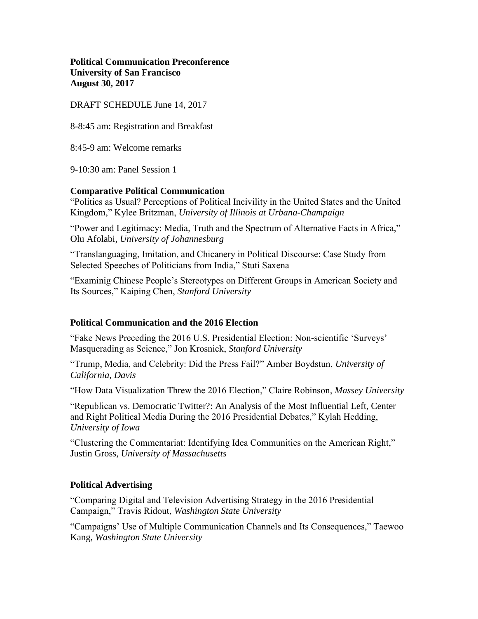**Political Communication Preconference University of San Francisco August 30, 2017**

DRAFT SCHEDULE June 14, 2017

8-8:45 am: Registration and Breakfast

8:45-9 am: Welcome remarks

9-10:30 am: Panel Session 1

# **Comparative Political Communication**

"Politics as Usual? Perceptions of Political Incivility in the United States and the United Kingdom," Kylee Britzman, *University of Illinois at Urbana-Champaign*

"Power and Legitimacy: Media, Truth and the Spectrum of Alternative Facts in Africa," Olu Afolabi, *University of Johannesburg*

"Translanguaging, Imitation, and Chicanery in Political Discourse: Case Study from Selected Speeches of Politicians from India," Stuti Saxena

"Examinig Chinese People's Stereotypes on Different Groups in American Society and Its Sources," Kaiping Chen, *Stanford University*

# **Political Communication and the 2016 Election**

"Fake News Preceding the 2016 U.S. Presidential Election: Non-scientific 'Surveys' Masquerading as Science," Jon Krosnick, *Stanford University*

"Trump, Media, and Celebrity: Did the Press Fail?" Amber Boydstun, *University of California, Davis*

"How Data Visualization Threw the 2016 Election," Claire Robinson, *Massey University*

"Republican vs. Democratic Twitter?: An Analysis of the Most Influential Left, Center and Right Political Media During the 2016 Presidential Debates," Kylah Hedding, *University of Iowa*

"Clustering the Commentariat: Identifying Idea Communities on the American Right," Justin Gross, *University of Massachusetts*

# **Political Advertising**

"Comparing Digital and Television Advertising Strategy in the 2016 Presidential Campaign," Travis Ridout, *Washington State University*

"Campaigns' Use of Multiple Communication Channels and Its Consequences," Taewoo Kang, *Washington State University*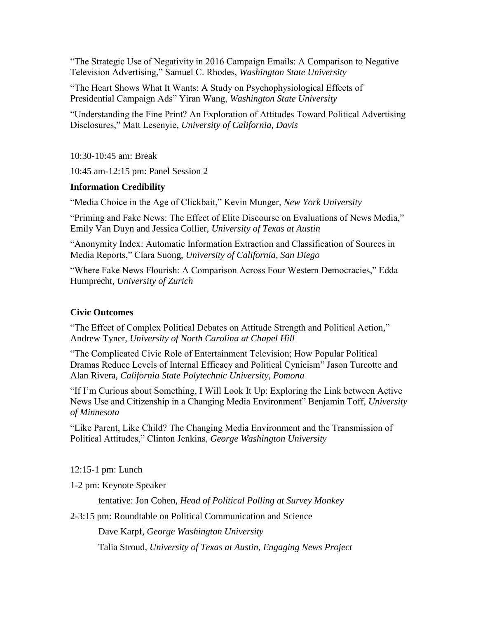"The Strategic Use of Negativity in 2016 Campaign Emails: A Comparison to Negative Television Advertising," Samuel C. Rhodes, *Washington State University*

"The Heart Shows What It Wants: A Study on Psychophysiological Effects of Presidential Campaign Ads" Yiran Wang, *Washington State University*

"Understanding the Fine Print? An Exploration of Attitudes Toward Political Advertising Disclosures," Matt Lesenyie, *University of California, Davis*

10:30-10:45 am: Break

10:45 am-12:15 pm: Panel Session 2

# **Information Credibility**

"Media Choice in the Age of Clickbait," Kevin Munger, *New York University*

"Priming and Fake News: The Effect of Elite Discourse on Evaluations of News Media," Emily Van Duyn and Jessica Collier, *University of Texas at Austin*

"Anonymity Index: Automatic Information Extraction and Classification of Sources in Media Reports," Clara Suong, *University of California, San Diego*

"Where Fake News Flourish: A Comparison Across Four Western Democracies," Edda Humprecht, *University of Zurich*

# **Civic Outcomes**

"The Effect of Complex Political Debates on Attitude Strength and Political Action," Andrew Tyner, *University of North Carolina at Chapel Hill*

"The Complicated Civic Role of Entertainment Television; How Popular Political Dramas Reduce Levels of Internal Efficacy and Political Cynicism" Jason Turcotte and Alan Rivera, *California State Polytechnic University, Pomona*

"If I'm Curious about Something, I Will Look It Up: Exploring the Link between Active News Use and Citizenship in a Changing Media Environment" Benjamin Toff, *University of Minnesota*

"Like Parent, Like Child? The Changing Media Environment and the Transmission of Political Attitudes," Clinton Jenkins, *George Washington University*

12:15-1 pm: Lunch

1-2 pm: Keynote Speaker

tentative: Jon Cohen, *Head of Political Polling at Survey Monkey*

2-3:15 pm: Roundtable on Political Communication and Science

Dave Karpf, *George Washington University*

Talia Stroud, *University of Texas at Austin*, *Engaging News Project*